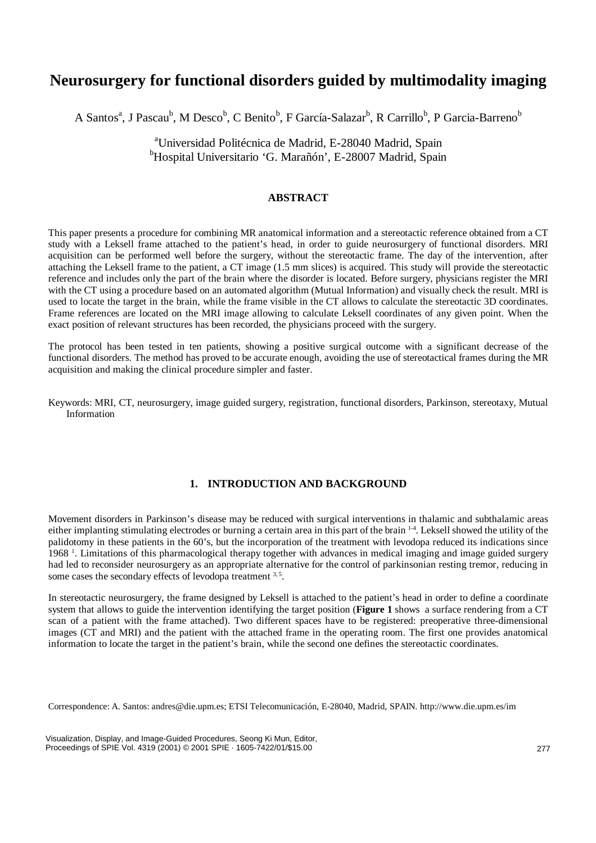# **Neurosurgery for functional disorders guided by multimodality imaging**

A Santos<sup>a</sup>, J Pascau<sup>b</sup>, M Desco<sup>b</sup>, C Benito<sup>b</sup>, F García-Salazar<sup>b</sup>, R Carrillo<sup>b</sup>, P Garcia-Barreno<sup>b</sup>

<sup>a</sup>Universidad Politécnica de Madrid, E-28040 Madrid, Spain <sup>b</sup>Hospital Universitario 'G. Marañón', E-28007 Madrid, Spain

#### **ABSTRACT**

This paper presents a procedure for combining MR anatomical information and a stereotactic reference obtained from a CT study with a Leksell frame attached to the patient's head, in order to guide neurosurgery of functional disorders. MRI acquisition can be performed well before the surgery, without the stereotactic frame. The day of the intervention, after attaching the Leksell frame to the patient, a CT image (1.5 mm slices) is acquired. This study will provide the stereotactic reference and includes only the part of the brain where the disorder is located. Before surgery, physicians register the MRI with the CT using a procedure based on an automated algorithm (Mutual Information) and visually check the result. MRI is used to locate the target in the brain, while the frame visible in the CT allows to calculate the stereotactic 3D coordinates. Frame references are located on the MRI image allowing to calculate Leksell coordinates of any given point. When the exact position of relevant structures has been recorded, the physicians proceed with the surgery.

The protocol has been tested in ten patients, showing a positive surgical outcome with a significant decrease of the functional disorders. The method has proved to be accurate enough, avoiding the use of stereotactical frames during the MR acquisition and making the clinical procedure simpler and faster.

Keywords: MRI, CT, neurosurgery, image guided surgery, registration, functional disorders, Parkinson, stereotaxy, Mutual Information

#### **1. INTRODUCTION AND BACKGROUND**

Movement disorders in Parkinson's disease may be reduced with surgical interventions in thalamic and subthalamic areas either implanting stimulating electrodes or burning a certain area in this part of the brain  $^{14}$ . Leksell showed the utility of the palidotomy in these patients in the 60's, but the incorporation of the treatment with levodopa reduced its indications since 1968 <sup>1</sup> . Limitations of this pharmacological therapy together with advances in medical imaging and image guided surgery had led to reconsider neurosurgery as an appropriate alternative for the control of parkinsonian resting tremor, reducing in some cases the secondary effects of levodopa treatment 3,5.

In stereotactic neurosurgery, the frame designed by Leksell is attached to the patient's head in order to define a coordinate system that allows to guide the intervention identifying the target position (**Figure 1** shows a surface rendering from a CT scan of a patient with the frame attached). Two different spaces have to be registered: preoperative three-dimensional images (CT and MRI) and the patient with the attached frame in the operating room. The first one provides anatomical information to locate the target in the patient's brain, while the second one defines the stereotactic coordinates.

Correspondence: A. Santos: andres@die.upm.es; ETSI Telecomunicación, E-28040, Madrid, SPAIN. http://www.die.upm.es/im

Visualization, Display, and Image-Guided Procedures, Seong Ki Mun, Editor, Proceedings of SPIE Vol. 4319 (2001) © 2001 SPIE · 1605-7422/01/\$15.00 277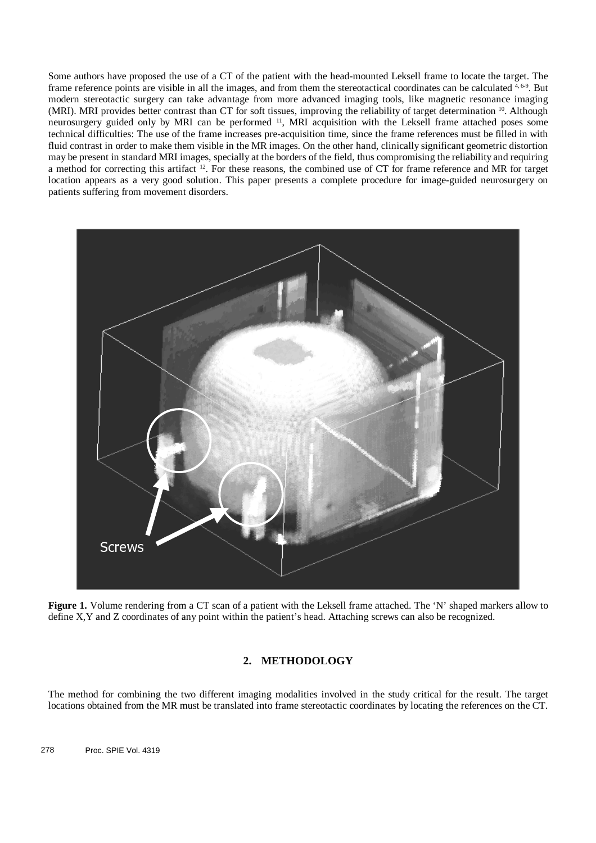Some authors have proposed the use of a CT of the patient with the head-mounted Leksell frame to locate the target. The frame reference points are visible in all the images, and from them the stereotactical coordinates can be calculated 4, 6-9. But modern stereotactic surgery can take advantage from more advanced imaging tools, like magnetic resonance imaging (MRI). MRI provides better contrast than CT for soft tissues, improving the reliability of target determination <sup>10</sup>. Although neurosurgery guided only by MRI can be performed <sup>11</sup>, MRI acquisition with the Leksell frame attached poses some technical difficulties: The use of the frame increases pre-acquisition time, since the frame references must be filled in with fluid contrast in order to make them visible in the MR images. On the other hand, clinically significant geometric distortion may be present in standard MRI images, specially at the borders of the field, thus compromising the reliability and requiring a method for correcting this artifact 12. For these reasons, the combined use of CT for frame reference and MR for target location appears as a very good solution. This paper presents a complete procedure for image-guided neurosurgery on patients suffering from movement disorders.



**Figure 1.** Volume rendering from a CT scan of a patient with the Leksell frame attached. The 'N' shaped markers allow to define X,Y and Z coordinates of any point within the patient's head. Attaching screws can also be recognized.

# **2. METHODOLOGY**

The method for combining the two different imaging modalities involved in the study critical for the result. The target locations obtained from the MR must be translated into frame stereotactic coordinates by locating the references on the CT.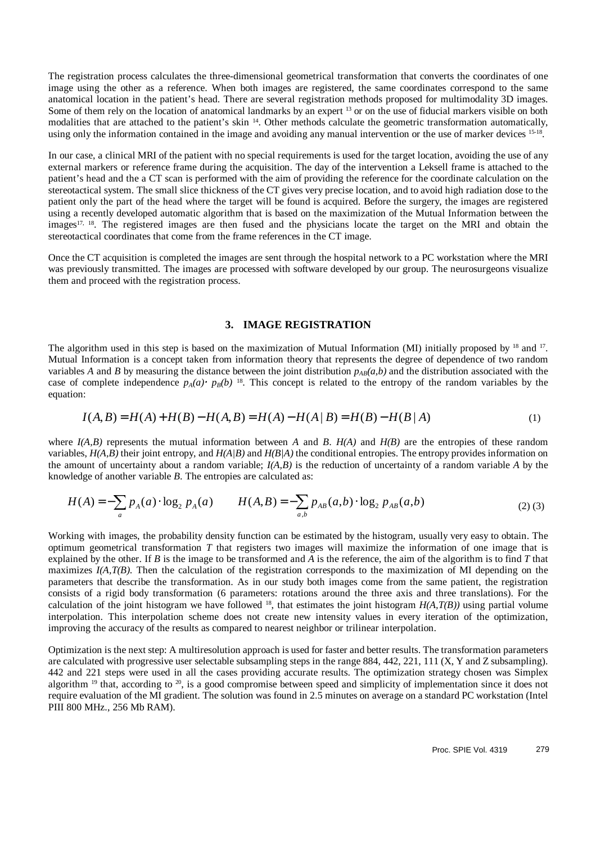The registration process calculates the three-dimensional geometrical transformation that converts the coordinates of one image using the other as a reference. When both images are registered, the same coordinates correspond to the same anatomical location in the patient's head. There are several registration methods proposed for multimodality 3D images. Some of them rely on the location of anatomical landmarks by an expert  $^{13}$  or on the use of fiducial markers visible on both modalities that are attached to the patient's skin 14. Other methods calculate the geometric transformation automatically, using only the information contained in the image and avoiding any manual intervention or the use of marker devices  $15-18$ .

In our case, a clinical MRI of the patient with no special requirements is used for the target location, avoiding the use of any external markers or reference frame during the acquisition. The day of the intervention a Leksell frame is attached to the patient's head and the a CT scan is performed with the aim of providing the reference for the coordinate calculation on the stereotactical system. The small slice thickness of the CT gives very precise location, and to avoid high radiation dose to the patient only the part of the head where the target will be found is acquired. Before the surgery, the images are registered using a recently developed automatic algorithm that is based on the maximization of the Mutual Information between the images<sup>17, 18</sup>. The registered images are then fused and the physicians locate the target on the MRI and obtain the stereotactical coordinates that come from the frame references in the CT image.

Once the CT acquisition is completed the images are sent through the hospital network to a PC workstation where the MRI was previously transmitted. The images are processed with software developed by our group. The neurosurgeons visualize them and proceed with the registration process.

### **3. IMAGE REGISTRATION**

The algorithm used in this step is based on the maximization of Mutual Information (MI) initially proposed by <sup>18</sup> and 17. Mutual Information is a concept taken from information theory that represents the degree of dependence of two random variables *A* and *B* by measuring the distance between the joint distribution  $p_{AB}(a,b)$  and the distribution associated with the case of complete independence  $p_A(a) \cdot p_B(b)$  <sup>18</sup>. This concept is related to the entropy of the random variables by the equation:<br>  $L(A, B) = L(A) + L(B) = L(A) + L(A) + L(A) = L(A) + L(B) = L(B) + L(B) + L(B)$ equation:

$$
I(A, B) = H(A) + H(B) - H(A, B) = H(A) - H(A | B) = H(B) - H(B | A)
$$
\n<sup>(1)</sup>

where  $I(A,B)$  represents the mutual information between *A* and *B*.  $H(A)$  and  $H(B)$  are the entropies of these random variables, *H(A,B)* their joint entropy, and *H(A|B)* and *H(B|A)* the conditional entropies. The entropy provides information on the amount of uncertainty about a random variable; *I(A,B)* is the reduction of uncertainty of a random variable *A* by the knowledge of another variable *B*. The entropies are calculated as:

$$
H(A) = -\sum_{a} p_{A}(a) \cdot \log_2 p_{A}(a) \qquad H(A,B) = -\sum_{a,b} p_{AB}(a,b) \cdot \log_2 p_{AB}(a,b) \tag{2}
$$

Working with images, the probability density function can be estimated by the histogram, usually very easy to obtain. The optimum geometrical transformation *T* that registers two images will maximize the information of one image that is explained by the other. If *B* is the image to be transformed and *A* is the reference, the aim of the algorithm is to find *T* that maximizes *I(A,T(B)*. Then the calculation of the registration corresponds to the maximization of MI depending on the parameters that describe the transformation. As in our study both images come from the same patient, the registration consists of a rigid body transformation (6 parameters: rotations around the three axis and three translations). For the calculation of the joint histogram we have followed <sup>18</sup>, that estimates the joint histogram  $H(A,T(B))$  using partial volume interpolation. This interpolation scheme does not create new intensity values in every iteration of the optimization, improving the accuracy of the results as compared to nearest neighbor or trilinear interpolation.

Optimization is the next step: A multiresolution approach is used for faster and better results. The transformation parameters are calculated with progressive user selectable subsampling steps in the range 884, 442, 221, 111 (X, Y and Z subsampling). 442 and 221 steps were used in all the cases providing accurate results. The optimization strategy chosen was Simplex algorithm <sup>19</sup> that, according to <sup>20</sup>, is a good compromise between speed and simplicity of implementation since it does not require evaluation of the MI gradient. The solution was found in 2.5 minutes on average on a standard PC workstation (Intel PIII 800 MHz., 256 Mb RAM).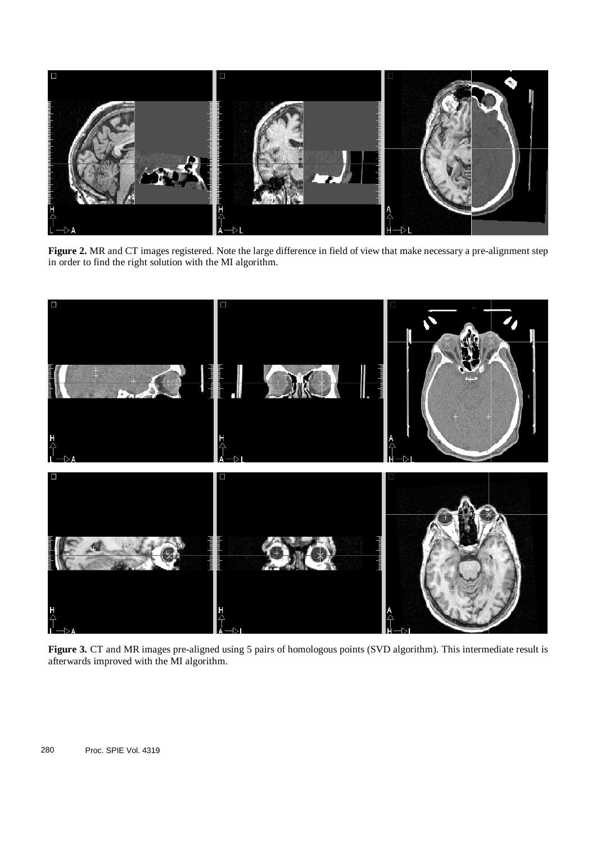

**Figure 2.** MR and CT images registered. Note the large difference in field of view that make necessary a pre-alignment step in order to find the right solution with the MI algorithm.



**Figure 3.** CT and MR images pre-aligned using 5 pairs of homologous points (SVD algorithm). This intermediate result is afterwards improved with the MI algorithm.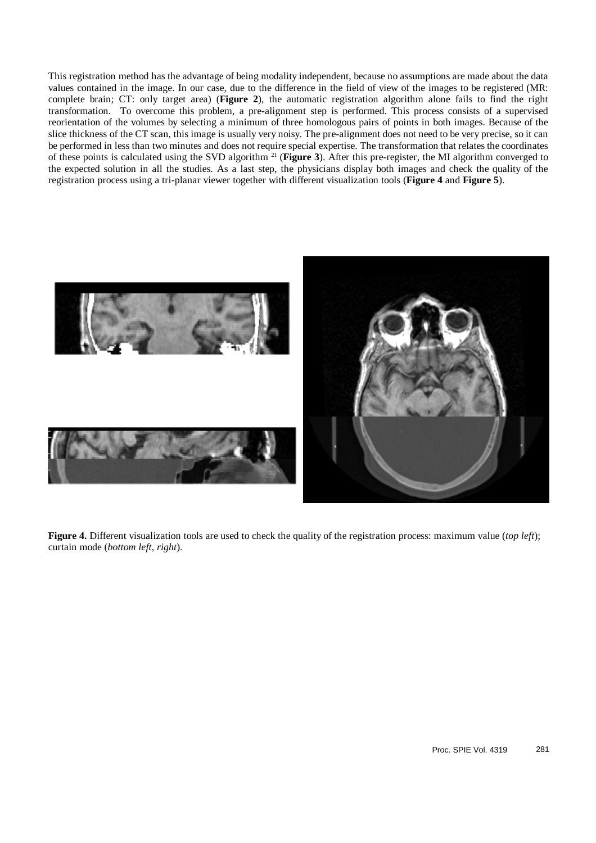This registration method has the advantage of being modality independent, because no assumptions are made about the data values contained in the image. In our case, due to the difference in the field of view of the images to be registered (MR: complete brain; CT: only target area) (**Figure 2**), the automatic registration algorithm alone fails to find the right transformation. To overcome this problem, a pre-alignment step is performed. This process consists of a supervised reorientation of the volumes by selecting a minimum of three homologous pairs of points in both images. Because of the slice thickness of the CT scan, this image is usually very noisy. The pre-alignment does not need to be very precise, so it can be performed in less than two minutes and does not require special expertise. The transformation that relates the coordinates of these points is calculated using the SVD algorithm <sup>21</sup> (**Figure 3**). After this pre-register, the MI algorithm converged to the expected solution in all the studies. As a last step, the physicians display both images and check the quality of the registration process using a tri-planar viewer together with different visualization tools (**Figure 4** and **Figure 5**).



**Figure 4.** Different visualization tools are used to check the quality of the registration process: maximum value (*top left*); curtain mode (*bottom left*, *right*).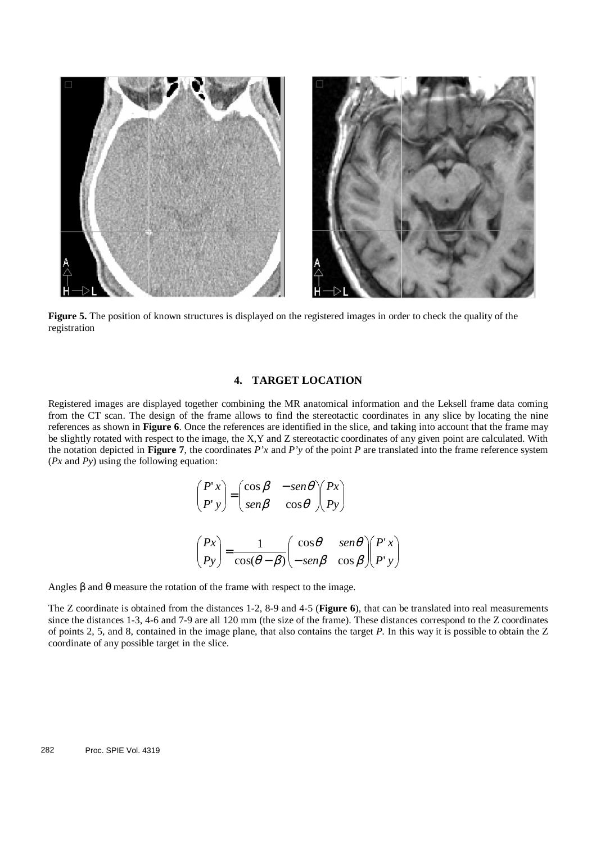

**Figure 5.** The position of known structures is displayed on the registered images in order to check the quality of the registration

# **4. TARGET LOCATION**

Registered images are displayed together combining the MR anatomical information and the Leksell frame data coming from the CT scan. The design of the frame allows to find the stereotactic coordinates in any slice by locating the nine references as shown in **Figure 6**. Once the references are identified in the slice, and taking into account that the frame may be slightly rotated with respect to the image, the X,Y and Z stereotactic coordinates of any given point are calculated. With the notation depicted in **Figure 7**, the coordinates *P'x* and *P'y* of the point *P* are translated into the frame reference system (*Px* and *Py*) using the following equation:

$$
\begin{pmatrix} P'x \\ P'y \end{pmatrix} = \begin{pmatrix} \cos \beta & -\operatorname{sen}\theta \\ \operatorname{sen}\beta & \cos\theta \end{pmatrix} \begin{pmatrix} Px \\ Py \end{pmatrix}
$$

$$
\begin{pmatrix} Px \\ Py \end{pmatrix} = \frac{1}{\cos(\theta - \beta)} \begin{pmatrix} \cos \theta & \operatorname{sen}\theta \\ -\operatorname{sen}\beta & \cos\beta \end{pmatrix} \begin{pmatrix} P'x \\ P'y \end{pmatrix}
$$

Ĭ

Ĭ Angles  $\beta$  and  $\theta$  measure the rotation of the frame with respect to the image.

 $\overline{a}$ 

The Z coordinate is obtained from the distances 1-2, 8-9 and 4-5 (**Figure 6**), that can be translated into real measurements since the distances 1-3, 4-6 and 7-9 are all 120 mm (the size of the frame). These distances correspond to the Z coordinates of points 2, 5, and 8, contained in the image plane, that also contains the target *P.* In this way it is possible to obtain the Z coordinate of any possible target in the slice.

 $\overline{a}$ 

Ĭ

 $\overline{a}$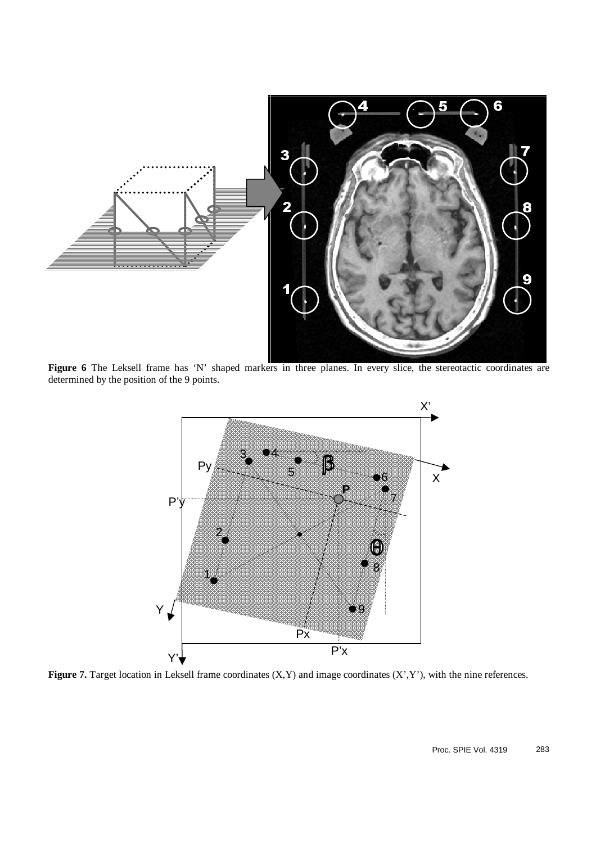

Figure 6 The Leksell frame has 'N' shaped markers in three planes. In every slice, the stereotactic coordinates are determined by the position of the 9 points.



Figure 7. Target location in Leksell frame coordinates  $(X, Y)$  and image coordinates  $(X', Y')$ , with the nine references.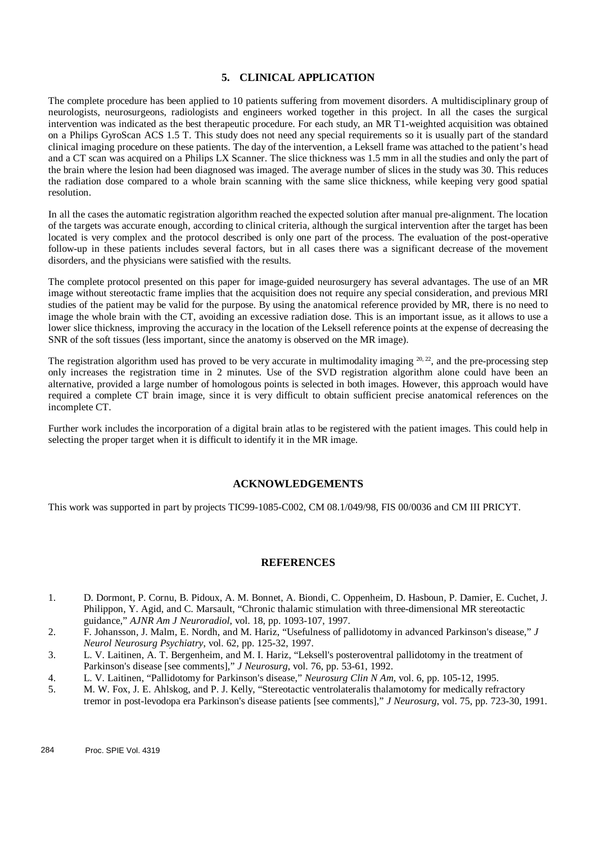## **5. CLINICAL APPLICATION**

The complete procedure has been applied to 10 patients suffering from movement disorders. A multidisciplinary group of neurologists, neurosurgeons, radiologists and engineers worked together in this project. In all the cases the surgical intervention was indicated as the best therapeutic procedure. For each study, an MR T1-weighted acquisition was obtained on a Philips GyroScan ACS 1.5 T. This study does not need any special requirements so it is usually part of the standard clinical imaging procedure on these patients. The day of the intervention, a Leksell frame was attached to the patient's head and a CT scan was acquired on a Philips LX Scanner. The slice thickness was 1.5 mm in all the studies and only the part of the brain where the lesion had been diagnosed was imaged. The average number of slices in the study was 30. This reduces the radiation dose compared to a whole brain scanning with the same slice thickness, while keeping very good spatial resolution.

In all the cases the automatic registration algorithm reached the expected solution after manual pre-alignment. The location of the targets was accurate enough, according to clinical criteria, although the surgical intervention after the target has been located is very complex and the protocol described is only one part of the process. The evaluation of the post-operative follow-up in these patients includes several factors, but in all cases there was a significant decrease of the movement disorders, and the physicians were satisfied with the results.

The complete protocol presented on this paper for image-guided neurosurgery has several advantages. The use of an MR image without stereotactic frame implies that the acquisition does not require any special consideration, and previous MRI studies of the patient may be valid for the purpose. By using the anatomical reference provided by MR, there is no need to image the whole brain with the CT, avoiding an excessive radiation dose. This is an important issue, as it allows to use a lower slice thickness, improving the accuracy in the location of the Leksell reference points at the expense of decreasing the SNR of the soft tissues (less important, since the anatomy is observed on the MR image).

The registration algorithm used has proved to be very accurate in multimodality imaging  $20, 22$ , and the pre-processing step only increases the registration time in 2 minutes. Use of the SVD registration algorithm alone could have been an alternative, provided a large number of homologous points is selected in both images. However, this approach would have required a complete CT brain image, since it is very difficult to obtain sufficient precise anatomical references on the incomplete CT.

Further work includes the incorporation of a digital brain atlas to be registered with the patient images. This could help in selecting the proper target when it is difficult to identify it in the MR image.

#### **ACKNOWLEDGEMENTS**

This work was supported in part by projects TIC99-1085-C002, CM 08.1/049/98, FIS 00/0036 and CM III PRICYT.

#### **REFERENCES**

- 1. D. Dormont, P. Cornu, B. Pidoux, A. M. Bonnet, A. Biondi, C. Oppenheim, D. Hasboun, P. Damier, E. Cuchet, J. Philippon, Y. Agid, and C. Marsault, "Chronic thalamic stimulation with three-dimensional MR stereotactic guidance," *AJNR Am J Neuroradiol*, vol. 18, pp. 1093-107, 1997.
- 2. F. Johansson, J. Malm, E. Nordh, and M. Hariz, "Usefulness of pallidotomy in advanced Parkinson's disease," *J Neurol Neurosurg Psychiatry*, vol. 62, pp. 125-32, 1997.
- 3. L. V. Laitinen, A. T. Bergenheim, and M. I. Hariz, "Leksell's posteroventral pallidotomy in the treatment of Parkinson's disease [see comments]," *J Neurosurg*, vol. 76, pp. 53-61, 1992.
- 4. L. V. Laitinen, "Pallidotomy for Parkinson's disease," *Neurosurg Clin N Am*, vol. 6, pp. 105-12, 1995.
- 5. M. W. Fox, J. E. Ahlskog, and P. J. Kelly, "Stereotactic ventrolateralis thalamotomy for medically refractory tremor in post-levodopa era Parkinson's disease patients [see comments]," *J Neurosurg*, vol. 75, pp. 723-30, 1991.